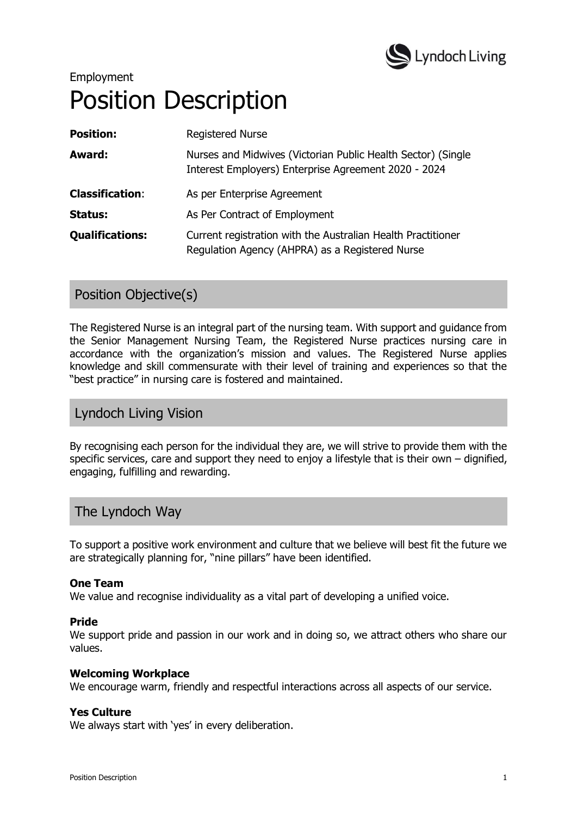

# Employment Position Description

| <b>Position:</b>       | <b>Registered Nurse</b>                                                                                              |
|------------------------|----------------------------------------------------------------------------------------------------------------------|
| Award:                 | Nurses and Midwives (Victorian Public Health Sector) (Single<br>Interest Employers) Enterprise Agreement 2020 - 2024 |
| <b>Classification:</b> | As per Enterprise Agreement                                                                                          |
| Status:                | As Per Contract of Employment                                                                                        |
| <b>Qualifications:</b> | Current registration with the Australian Health Practitioner<br>Regulation Agency (AHPRA) as a Registered Nurse      |

# Position Objective(s)

The Registered Nurse is an integral part of the nursing team. With support and guidance from the Senior Management Nursing Team, the Registered Nurse practices nursing care in accordance with the organization's mission and values. The Registered Nurse applies knowledge and skill commensurate with their level of training and experiences so that the "best practice" in nursing care is fostered and maintained.

# Lyndoch Living Vision

By recognising each person for the individual they are, we will strive to provide them with the specific services, care and support they need to enjoy a lifestyle that is their own – dignified, engaging, fulfilling and rewarding.

## The Lyndoch Way

To support a positive work environment and culture that we believe will best fit the future we are strategically planning for, "nine pillars" have been identified.

#### **One Team**

We value and recognise individuality as a vital part of developing a unified voice.

#### **Pride**

We support pride and passion in our work and in doing so, we attract others who share our values.

#### **Welcoming Workplace**

We encourage warm, friendly and respectful interactions across all aspects of our service.

#### **Yes Culture**

We always start with 'yes' in every deliberation.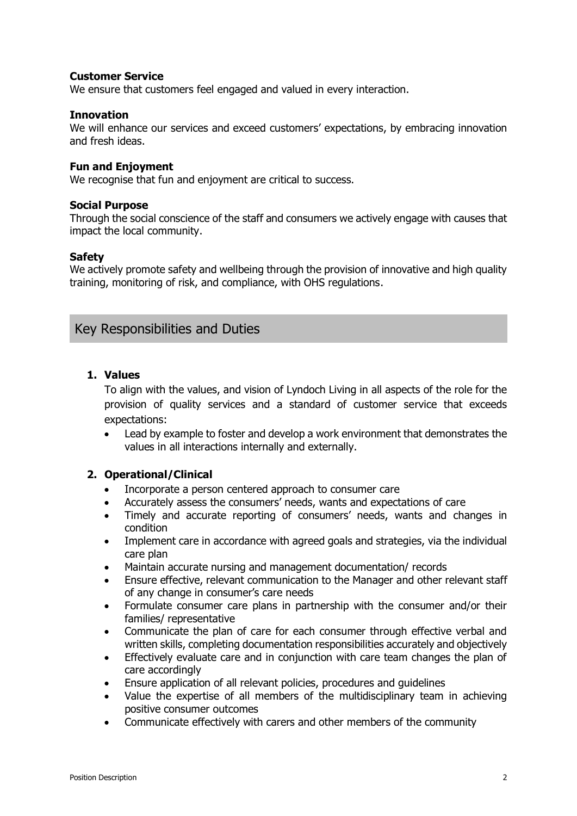#### **Customer Service**

We ensure that customers feel engaged and valued in every interaction.

#### **Innovation**

We will enhance our services and exceed customers' expectations, by embracing innovation and fresh ideas.

#### **Fun and Enjoyment**

We recognise that fun and enjoyment are critical to success.

#### **Social Purpose**

Through the social conscience of the staff and consumers we actively engage with causes that impact the local community.

#### **Safety**

We actively promote safety and wellbeing through the provision of innovative and high quality training, monitoring of risk, and compliance, with OHS regulations.

## Key Responsibilities and Duties

#### **1. Values**

To align with the values, and vision of Lyndoch Living in all aspects of the role for the provision of quality services and a standard of customer service that exceeds expectations:

 Lead by example to foster and develop a work environment that demonstrates the values in all interactions internally and externally.

#### **2. Operational/Clinical**

- Incorporate a person centered approach to consumer care
- Accurately assess the consumers' needs, wants and expectations of care
- Timely and accurate reporting of consumers' needs, wants and changes in condition
- Implement care in accordance with agreed goals and strategies, via the individual care plan
- Maintain accurate nursing and management documentation/ records
- Ensure effective, relevant communication to the Manager and other relevant staff of any change in consumer's care needs
- Formulate consumer care plans in partnership with the consumer and/or their families/ representative
- Communicate the plan of care for each consumer through effective verbal and written skills, completing documentation responsibilities accurately and objectively
- Effectively evaluate care and in conjunction with care team changes the plan of care accordingly
- Ensure application of all relevant policies, procedures and guidelines
- Value the expertise of all members of the multidisciplinary team in achieving positive consumer outcomes
- Communicate effectively with carers and other members of the community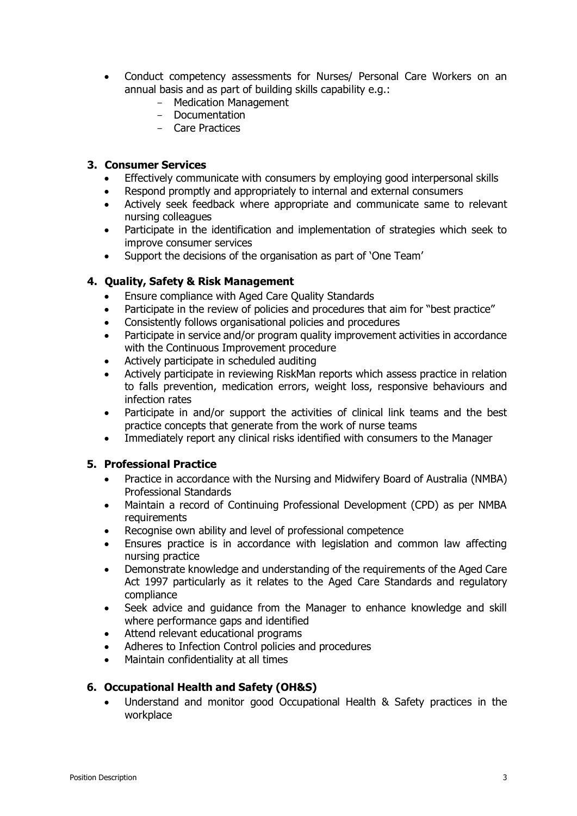- Conduct competency assessments for Nurses/ Personal Care Workers on an annual basis and as part of building skills capability e.g.:
	- Medication Management
	- Documentation
	- Care Practices

#### **3. Consumer Services**

- Effectively communicate with consumers by employing good interpersonal skills
- Respond promptly and appropriately to internal and external consumers
- Actively seek feedback where appropriate and communicate same to relevant nursing colleagues
- Participate in the identification and implementation of strategies which seek to improve consumer services
- Support the decisions of the organisation as part of 'One Team'

#### **4. Quality, Safety & Risk Management**

- Ensure compliance with Aged Care Quality Standards
- Participate in the review of policies and procedures that aim for "best practice"
- Consistently follows organisational policies and procedures
- Participate in service and/or program quality improvement activities in accordance with the Continuous Improvement procedure
- Actively participate in scheduled auditing
- Actively participate in reviewing RiskMan reports which assess practice in relation to falls prevention, medication errors, weight loss, responsive behaviours and infection rates
- Participate in and/or support the activities of clinical link teams and the best practice concepts that generate from the work of nurse teams
- Immediately report any clinical risks identified with consumers to the Manager

#### **5. Professional Practice**

- Practice in accordance with the Nursing and Midwifery Board of Australia (NMBA) Professional Standards
- Maintain a record of Continuing Professional Development (CPD) as per NMBA requirements
- Recognise own ability and level of professional competence
- Ensures practice is in accordance with legislation and common law affecting nursing practice
- Demonstrate knowledge and understanding of the requirements of the Aged Care Act 1997 particularly as it relates to the Aged Care Standards and regulatory compliance
- Seek advice and guidance from the Manager to enhance knowledge and skill where performance gaps and identified
- Attend relevant educational programs
- Adheres to Infection Control policies and procedures
- Maintain confidentiality at all times

#### **6. Occupational Health and Safety (OH&S)**

 Understand and monitor good Occupational Health & Safety practices in the workplace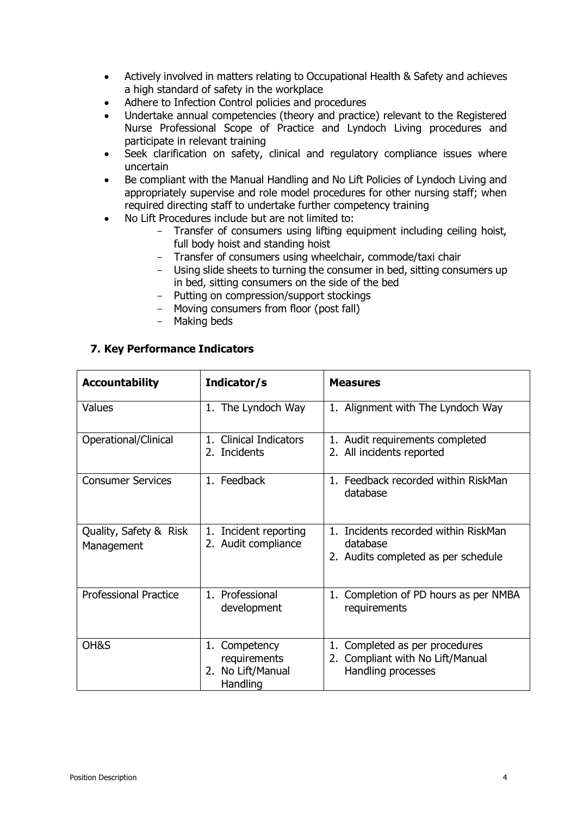- Actively involved in matters relating to Occupational Health & Safety and achieves a high standard of safety in the workplace
- Adhere to Infection Control policies and procedures
- Undertake annual competencies (theory and practice) relevant to the Registered Nurse Professional Scope of Practice and Lyndoch Living procedures and participate in relevant training
- Seek clarification on safety, clinical and regulatory compliance issues where uncertain
- Be compliant with the Manual Handling and No Lift Policies of Lyndoch Living and appropriately supervise and role model procedures for other nursing staff; when required directing staff to undertake further competency training
- No Lift Procedures include but are not limited to:
	- Transfer of consumers using lifting equipment including ceiling hoist, full body hoist and standing hoist
	- Transfer of consumers using wheelchair, commode/taxi chair
	- Using slide sheets to turning the consumer in bed, sitting consumers up in bed, sitting consumers on the side of the bed
	- Putting on compression/support stockings
	- Moving consumers from floor (post fall)
	- Making beds

| <b>Accountability</b>                | Indicator/s                                                       | <b>Measures</b>                                                                                |
|--------------------------------------|-------------------------------------------------------------------|------------------------------------------------------------------------------------------------|
| Values                               | 1. The Lyndoch Way                                                | 1. Alignment with The Lyndoch Way                                                              |
| Operational/Clinical                 | 1. Clinical Indicators<br>2. Incidents                            | 1. Audit requirements completed<br>2. All incidents reported                                   |
| <b>Consumer Services</b>             | 1. Feedback                                                       | 1. Feedback recorded within RiskMan<br>database                                                |
| Quality, Safety & Risk<br>Management | Incident reporting<br>1.<br>2. Audit compliance                   | 1. Incidents recorded within RiskMan<br>database<br>2. Audits completed as per schedule        |
| <b>Professional Practice</b>         | 1. Professional<br>development                                    | Completion of PD hours as per NMBA<br>1.<br>requirements                                       |
| OH&S                                 | Competency<br>1.<br>requirements<br>2. No Lift/Manual<br>Handling | Completed as per procedures<br>1.<br>Compliant with No Lift/Manual<br>2.<br>Handling processes |

#### **7. Key Performance Indicators**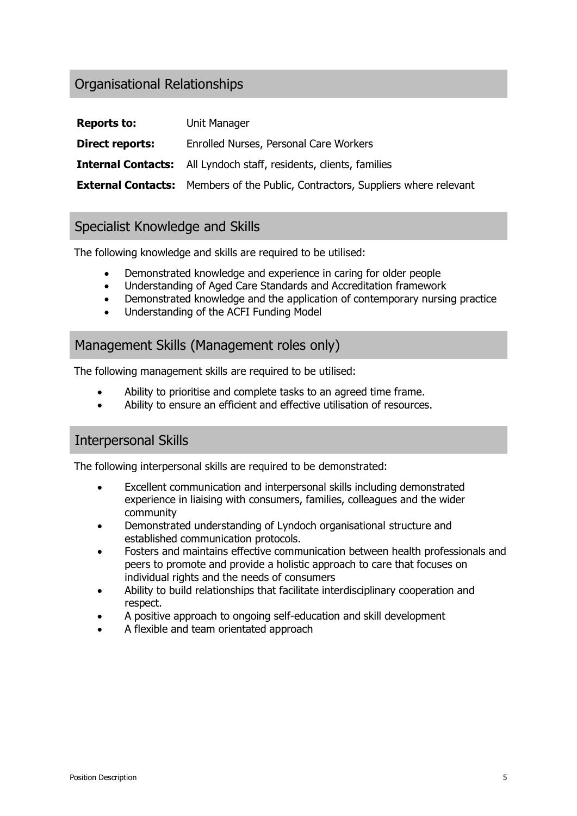# Organisational Relationships

| <b>Reports to:</b>     | Unit Manager                                                                           |
|------------------------|----------------------------------------------------------------------------------------|
| <b>Direct reports:</b> | Enrolled Nurses, Personal Care Workers                                                 |
|                        | <b>Internal Contacts:</b> All Lyndoch staff, residents, clients, families              |
|                        | <b>External Contacts:</b> Members of the Public, Contractors, Suppliers where relevant |

# Specialist Knowledge and Skills

The following knowledge and skills are required to be utilised:

- Demonstrated knowledge and experience in caring for older people
- Understanding of Aged Care Standards and Accreditation framework
- Demonstrated knowledge and the application of contemporary nursing practice
- Understanding of the ACFI Funding Model

### Management Skills (Management roles only)

The following management skills are required to be utilised:

- Ability to prioritise and complete tasks to an agreed time frame.
- Ability to ensure an efficient and effective utilisation of resources.

## Interpersonal Skills

The following interpersonal skills are required to be demonstrated:

- Excellent communication and interpersonal skills including demonstrated experience in liaising with consumers, families, colleagues and the wider community
- Demonstrated understanding of Lyndoch organisational structure and established communication protocols.
- Fosters and maintains effective communication between health professionals and peers to promote and provide a holistic approach to care that focuses on individual rights and the needs of consumers
- Ability to build relationships that facilitate interdisciplinary cooperation and respect.
- A positive approach to ongoing self-education and skill development
- A flexible and team orientated approach